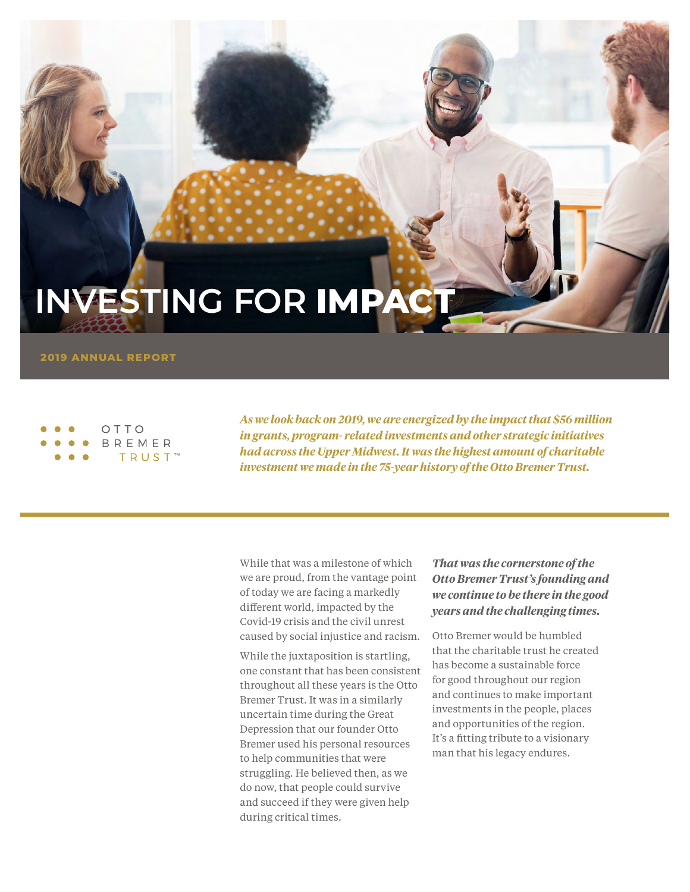## **INVESTING FOR IMPACT**

**2019 ANNUAL REPORT**

#### OTTO BREMER **TRUST**™

*As we look back on 2019, we are energized by the impact that \$56 million in grants, program- related investments and other strategic initiatives had across the Upper Midwest. It was the highest amount of charitable investment we made in the 75-year history of the Otto Bremer Trust.*

While that was a milestone of which we are proud, from the vantage point of today we are facing a markedly different world, impacted by the Covid-19 crisis and the civil unrest caused by social injustice and racism.

While the juxtaposition is startling, one constant that has been consistent throughout all these years is the Otto Bremer Trust. It was in a similarly uncertain time during the Great Depression that our founder Otto Bremer used his personal resources to help communities that were struggling. He believed then, as we do now, that people could survive and succeed if they were given help during critical times.

### *That was the cornerstone of the Otto Bremer Trust's founding and we continue to be there in the good years and the challenging times.*

Otto Bremer would be humbled that the charitable trust he created has become a sustainable force for good throughout our region and continues to make important investments in the people, places and opportunities of the region. It's a fitting tribute to a visionary man that his legacy endures.